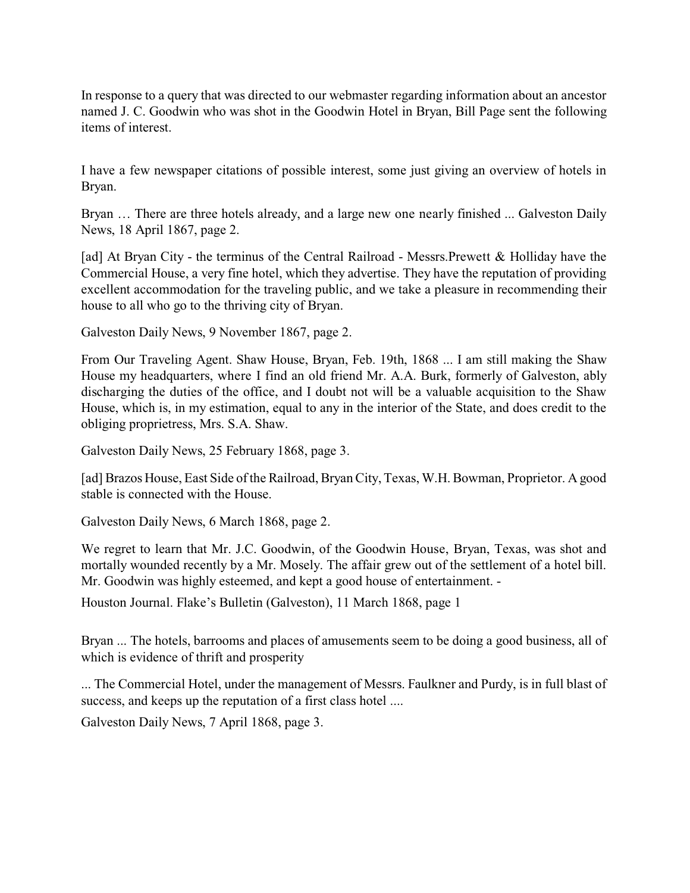In response to a query that was directed to our webmaster regarding information about an ancestor named J. C. Goodwin who was shot in the Goodwin Hotel in Bryan, Bill Page sent the following items of interest.

I have a few newspaper citations of possible interest, some just giving an overview of hotels in Bryan.

Bryan … There are three hotels already, and a large new one nearly finished ... Galveston Daily News, 18 April 1867, page 2.

[ad] At Bryan City - the terminus of the Central Railroad - Messrs.Prewett & Holliday have the Commercial House, a very fine hotel, which they advertise. They have the reputation of providing excellent accommodation for the traveling public, and we take a pleasure in recommending their house to all who go to the thriving city of Bryan.

Galveston Daily News, 9 November 1867, page 2.

From Our Traveling Agent. Shaw House, Bryan, Feb. 19th, 1868 ... I am still making the Shaw House my headquarters, where I find an old friend Mr. A.A. Burk, formerly of Galveston, ably discharging the duties of the office, and I doubt not will be a valuable acquisition to the Shaw House, which is, in my estimation, equal to any in the interior of the State, and does credit to the obliging proprietress, Mrs. S.A. Shaw.

Galveston Daily News, 25 February 1868, page 3.

[ad] Brazos House, East Side of the Railroad, Bryan City, Texas, W.H. Bowman, Proprietor. A good stable is connected with the House.

Galveston Daily News, 6 March 1868, page 2.

We regret to learn that Mr. J.C. Goodwin, of the Goodwin House, Bryan, Texas, was shot and mortally wounded recently by a Mr. Mosely. The affair grew out of the settlement of a hotel bill. Mr. Goodwin was highly esteemed, and kept a good house of entertainment. -

Houston Journal. Flake's Bulletin (Galveston), 11 March 1868, page 1

Bryan ... The hotels, barrooms and places of amusements seem to be doing a good business, all of which is evidence of thrift and prosperity

... The Commercial Hotel, under the management of Messrs. Faulkner and Purdy, is in full blast of success, and keeps up the reputation of a first class hotel ....

Galveston Daily News, 7 April 1868, page 3.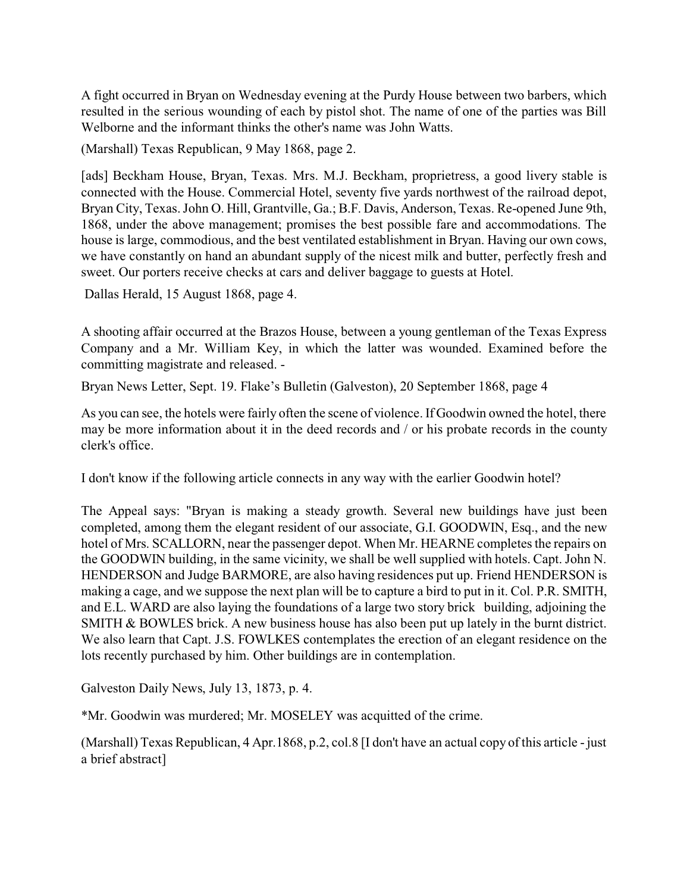A fight occurred in Bryan on Wednesday evening at the Purdy House between two barbers, which resulted in the serious wounding of each by pistol shot. The name of one of the parties was Bill Welborne and the informant thinks the other's name was John Watts.

(Marshall) Texas Republican, 9 May 1868, page 2.

[ads] Beckham House, Bryan, Texas. Mrs. M.J. Beckham, proprietress, a good livery stable is connected with the House. Commercial Hotel, seventy five yards northwest of the railroad depot, Bryan City, Texas. John O. Hill, Grantville, Ga.; B.F. Davis, Anderson, Texas. Re-opened June 9th, 1868, under the above management; promises the best possible fare and accommodations. The house is large, commodious, and the best ventilated establishment in Bryan. Having our own cows, we have constantly on hand an abundant supply of the nicest milk and butter, perfectly fresh and sweet. Our porters receive checks at cars and deliver baggage to guests at Hotel.

Dallas Herald, 15 August 1868, page 4.

A shooting affair occurred at the Brazos House, between a young gentleman of the Texas Express Company and a Mr. William Key, in which the latter was wounded. Examined before the committing magistrate and released. -

Bryan News Letter, Sept. 19. Flake's Bulletin (Galveston), 20 September 1868, page 4

As you can see, the hotels were fairly often the scene of violence. If Goodwin owned the hotel, there may be more information about it in the deed records and / or his probate records in the county clerk's office.

I don't know if the following article connects in any way with the earlier Goodwin hotel?

The Appeal says: "Bryan is making a steady growth. Several new buildings have just been completed, among them the elegant resident of our associate, G.I. GOODWIN, Esq., and the new hotel of Mrs. SCALLORN, near the passenger depot. When Mr. HEARNE completes the repairs on the GOODWIN building, in the same vicinity, we shall be well supplied with hotels. Capt. John N. HENDERSON and Judge BARMORE, are also having residences put up. Friend HENDERSON is making a cage, and we suppose the next plan will be to capture a bird to put in it. Col. P.R. SMITH, and E.L. WARD are also laying the foundations of a large two story brick building, adjoining the SMITH & BOWLES brick. A new business house has also been put up lately in the burnt district. We also learn that Capt. J.S. FOWLKES contemplates the erection of an elegant residence on the lots recently purchased by him. Other buildings are in contemplation.

Galveston Daily News, July 13, 1873, p. 4.

\*Mr. Goodwin was murdered; Mr. MOSELEY was acquitted of the crime.

(Marshall) Texas Republican, 4 Apr.1868, p.2, col.8 [I don't have an actual copy of this article - just a brief abstract]